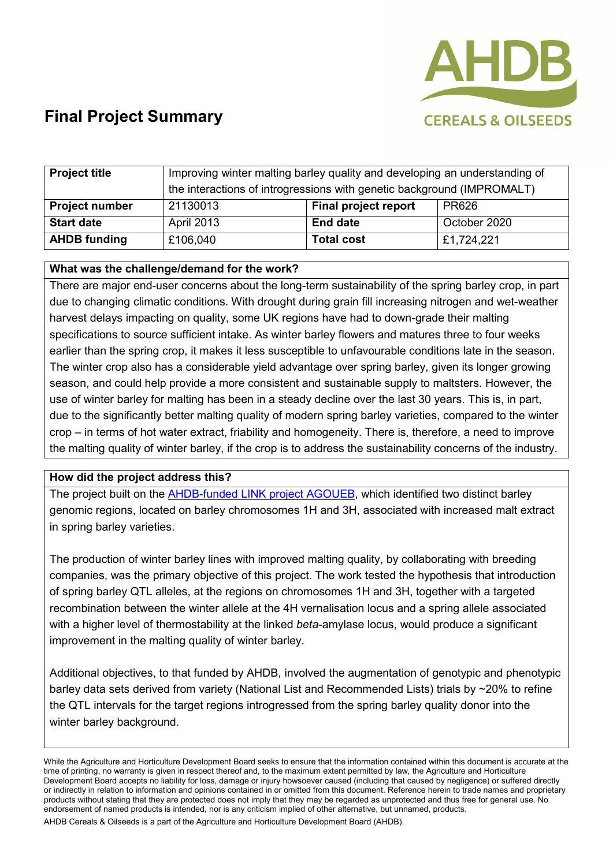

# **Final Project Summary**

| <b>Project title</b>  | Improving winter malting barley quality and developing an understanding of |                             |              |
|-----------------------|----------------------------------------------------------------------------|-----------------------------|--------------|
|                       | the interactions of introgressions with genetic background (IMPROMALT)     |                             |              |
| <b>Project number</b> | 21130013                                                                   | <b>Final project report</b> | PR626        |
| <b>Start date</b>     | <b>April 2013</b>                                                          | <b>End date</b>             | October 2020 |
| <b>AHDB</b> funding   | £106,040                                                                   | <b>Total cost</b>           | £1,724,221   |

## **What was the challenge/demand for the work?**

There are major end-user concerns about the long-term sustainability of the spring barley crop, in part due to changing climatic conditions. With drought during grain fill increasing nitrogen and wet-weather harvest delays impacting on quality, some UK regions have had to down-grade their malting specifications to source sufficient intake. As winter barley flowers and matures three to four weeks earlier than the spring crop, it makes it less susceptible to unfavourable conditions late in the season. The winter crop also has a considerable yield advantage over spring barley, given its longer growing season, and could help provide a more consistent and sustainable supply to maltsters. However, the use of winter barley for malting has been in a steady decline over the last 30 years. This is, in part, due to the significantly better malting quality of modern spring barley varieties, compared to the winter crop – in terms of hot water extract, friability and homogeneity. There is, therefore, a need to improve the malting quality of winter barley, if the crop is to address the sustainability concerns of the industry.

## **How did the project address this?**

The project built on the [AHDB-funded LINK project AGOUEB,](https://ahdb.org.uk/association-genetics-of-uk-elite-barley-agoueb) which identified two distinct barley genomic regions, located on barley chromosomes 1H and 3H, associated with increased malt extract in spring barley varieties.

The production of winter barley lines with improved malting quality, by collaborating with breeding companies, was the primary objective of this project. The work tested the hypothesis that introduction of spring barley QTL alleles, at the regions on chromosomes 1H and 3H, together with a targeted recombination between the winter allele at the 4H vernalisation locus and a spring allele associated with a higher level of thermostability at the linked *beta*-amylase locus, would produce a significant improvement in the malting quality of winter barley.

Additional objectives, to that funded by AHDB, involved the augmentation of genotypic and phenotypic barley data sets derived from variety (National List and Recommended Lists) trials by ~20% to refine the QTL intervals for the target regions introgressed from the spring barley quality donor into the winter barley background.

While the Agriculture and Horticulture Development Board seeks to ensure that the information contained within this document is accurate at the time of printing, no warranty is given in respect thereof and, to the maximum extent permitted by law, the Agriculture and Horticulture Development Board accepts no liability for loss, damage or injury howsoever caused (including that caused by negligence) or suffered directly or indirectly in relation to information and opinions contained in or omitted from this document. Reference herein to trade names and proprietary products without stating that they are protected does not imply that they may be regarded as unprotected and thus free for general use. No endorsement of named products is intended, nor is any criticism implied of other alternative, but unnamed, products.

AHDB Cereals & Oilseeds is a part of the Agriculture and Horticulture Development Board (AHDB).